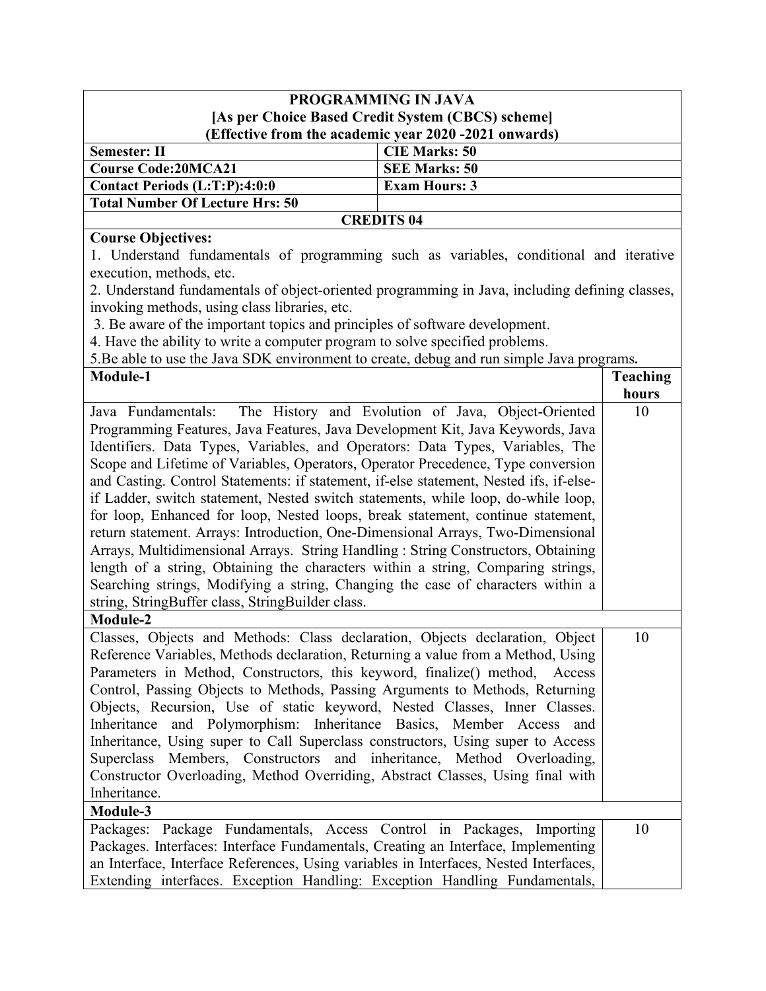## **PROGRAMMING IN JAVA [As per Choice Based Credit System (CBCS) scheme] (Effective from the academic year 2020 -2021 onwards)**

| Semester: II                                      | <b>CIE Marks: 50</b> |  |
|---------------------------------------------------|----------------------|--|
| Course Code:20MCA21                               | <b>SEE Marks: 50</b> |  |
| <b>Contact Periods <math>(L:T:P):4:0:0</math></b> | <b>Exam Hours: 3</b> |  |
| <b>Total Number Of Lecture Hrs: 50</b>            |                      |  |
| <b>CREDITS 04</b>                                 |                      |  |

**Course Objectives:** 1. Understand fundamentals of programming such as variables, conditional and iterative execution, methods, etc.

2. Understand fundamentals of object-oriented programming in Java, including defining classes, invoking methods, using class libraries, etc.

3. Be aware of the important topics and principles of software development.

4. Have the ability to write a computer program to solve specified problems.

5.Be able to use the Java SDK environment to create, debug and run simple Java programs**.**

| Module-1                                                                                                                                                                                                                                                                                                                                                                                                                                                                                                                                                                                                                                                                                                                                                                                                                                                                                                                                                                                            | <b>Teaching</b> |
|-----------------------------------------------------------------------------------------------------------------------------------------------------------------------------------------------------------------------------------------------------------------------------------------------------------------------------------------------------------------------------------------------------------------------------------------------------------------------------------------------------------------------------------------------------------------------------------------------------------------------------------------------------------------------------------------------------------------------------------------------------------------------------------------------------------------------------------------------------------------------------------------------------------------------------------------------------------------------------------------------------|-----------------|
|                                                                                                                                                                                                                                                                                                                                                                                                                                                                                                                                                                                                                                                                                                                                                                                                                                                                                                                                                                                                     | hours           |
| The History and Evolution of Java, Object-Oriented<br>Java Fundamentals:<br>Programming Features, Java Features, Java Development Kit, Java Keywords, Java<br>Identifiers. Data Types, Variables, and Operators: Data Types, Variables, The<br>Scope and Lifetime of Variables, Operators, Operator Precedence, Type conversion<br>and Casting. Control Statements: if statement, if-else statement, Nested ifs, if-else-<br>if Ladder, switch statement, Nested switch statements, while loop, do-while loop,<br>for loop, Enhanced for loop, Nested loops, break statement, continue statement,<br>return statement. Arrays: Introduction, One-Dimensional Arrays, Two-Dimensional<br>Arrays, Multidimensional Arrays. String Handling: String Constructors, Obtaining<br>length of a string, Obtaining the characters within a string, Comparing strings,<br>Searching strings, Modifying a string, Changing the case of characters within a<br>string, StringBuffer class, StringBuilder class. | 10              |
| Module-2                                                                                                                                                                                                                                                                                                                                                                                                                                                                                                                                                                                                                                                                                                                                                                                                                                                                                                                                                                                            |                 |
| Classes, Objects and Methods: Class declaration, Objects declaration, Object<br>Reference Variables, Methods declaration, Returning a value from a Method, Using<br>Parameters in Method, Constructors, this keyword, finalize() method, Access<br>Control, Passing Objects to Methods, Passing Arguments to Methods, Returning<br>Objects, Recursion, Use of static keyword, Nested Classes, Inner Classes.<br>Inheritance and Polymorphism: Inheritance Basics, Member Access and<br>Inheritance, Using super to Call Superclass constructors, Using super to Access<br>Superclass Members, Constructors and inheritance, Method Overloading,<br>Constructor Overloading, Method Overriding, Abstract Classes, Using final with<br>Inheritance.                                                                                                                                                                                                                                                   | 10              |
| Module-3                                                                                                                                                                                                                                                                                                                                                                                                                                                                                                                                                                                                                                                                                                                                                                                                                                                                                                                                                                                            |                 |
| Packages: Package Fundamentals, Access Control in Packages, Importing<br>Packages. Interfaces: Interface Fundamentals, Creating an Interface, Implementing<br>an Interface, Interface References, Using variables in Interfaces, Nested Interfaces,<br>Extending interfaces. Exception Handling: Exception Handling Fundamentals,                                                                                                                                                                                                                                                                                                                                                                                                                                                                                                                                                                                                                                                                   | 10              |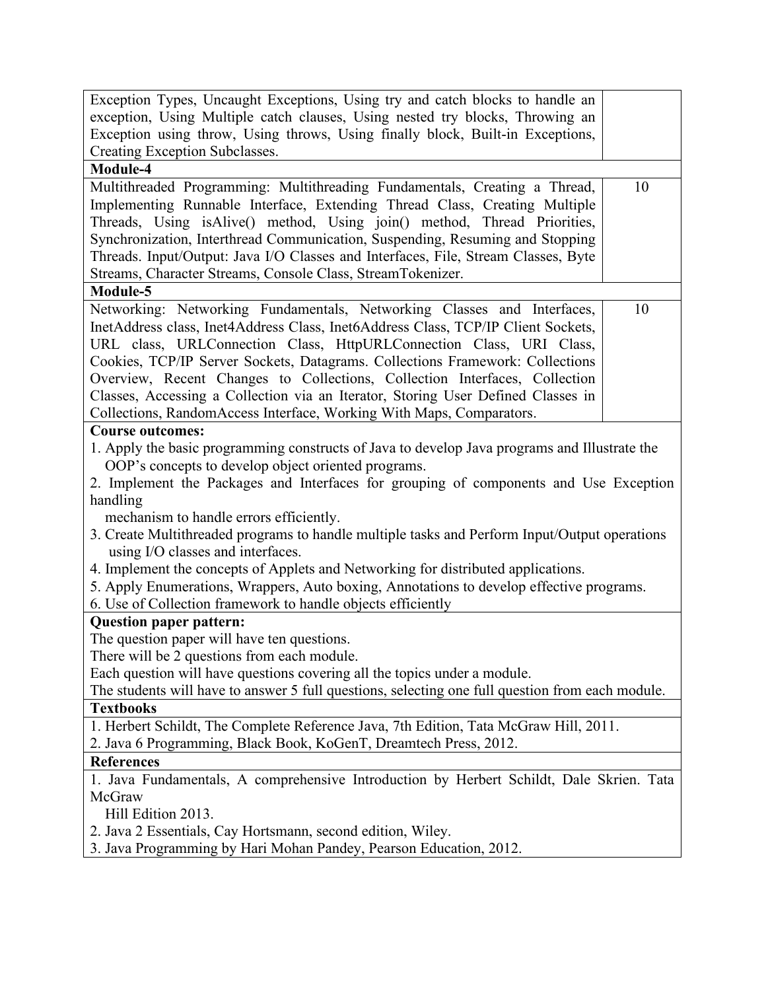| Exception Types, Uncaught Exceptions, Using try and catch blocks to handle an                                                      |    |  |
|------------------------------------------------------------------------------------------------------------------------------------|----|--|
| exception, Using Multiple catch clauses, Using nested try blocks, Throwing an                                                      |    |  |
| Exception using throw, Using throws, Using finally block, Built-in Exceptions,                                                     |    |  |
| Creating Exception Subclasses.                                                                                                     |    |  |
| Module-4                                                                                                                           |    |  |
| Multithreaded Programming: Multithreading Fundamentals, Creating a Thread,                                                         | 10 |  |
| Implementing Runnable Interface, Extending Thread Class, Creating Multiple                                                         |    |  |
| Threads, Using isAlive() method, Using join() method, Thread Priorities,                                                           |    |  |
| Synchronization, Interthread Communication, Suspending, Resuming and Stopping                                                      |    |  |
| Threads. Input/Output: Java I/O Classes and Interfaces, File, Stream Classes, Byte                                                 |    |  |
| Streams, Character Streams, Console Class, StreamTokenizer.                                                                        |    |  |
| Module-5                                                                                                                           |    |  |
| Networking: Networking Fundamentals, Networking Classes and Interfaces,                                                            | 10 |  |
| InetAddress class, Inet4Address Class, Inet6Address Class, TCP/IP Client Sockets,                                                  |    |  |
| URL class, URLConnection Class, HttpURLConnection Class, URI Class,                                                                |    |  |
| Cookies, TCP/IP Server Sockets, Datagrams. Collections Framework: Collections                                                      |    |  |
| Overview, Recent Changes to Collections, Collection Interfaces, Collection                                                         |    |  |
| Classes, Accessing a Collection via an Iterator, Storing User Defined Classes in                                                   |    |  |
| Collections, RandomAccess Interface, Working With Maps, Comparators.                                                               |    |  |
| <b>Course outcomes:</b>                                                                                                            |    |  |
| 1. Apply the basic programming constructs of Java to develop Java programs and Illustrate the                                      |    |  |
| OOP's concepts to develop object oriented programs.                                                                                |    |  |
| 2. Implement the Packages and Interfaces for grouping of components and Use Exception                                              |    |  |
| handling                                                                                                                           |    |  |
| mechanism to handle errors efficiently.                                                                                            |    |  |
| 3. Create Multithreaded programs to handle multiple tasks and Perform Input/Output operations<br>using I/O classes and interfaces. |    |  |
| 4. Implement the concepts of Applets and Networking for distributed applications.                                                  |    |  |
| 5. Apply Enumerations, Wrappers, Auto boxing, Annotations to develop effective programs.                                           |    |  |
| 6. Use of Collection framework to handle objects efficiently                                                                       |    |  |
| <b>Question paper pattern:</b>                                                                                                     |    |  |
| The question paper will have ten questions.                                                                                        |    |  |
| There will be 2 questions from each module.                                                                                        |    |  |
| Each question will have questions covering all the topics under a module.                                                          |    |  |
| The students will have to answer 5 full questions, selecting one full question from each module.                                   |    |  |
| <b>Textbooks</b>                                                                                                                   |    |  |
| 1. Herbert Schildt, The Complete Reference Java, 7th Edition, Tata McGraw Hill, 2011.                                              |    |  |
| 2. Java 6 Programming, Black Book, KoGenT, Dreamtech Press, 2012.                                                                  |    |  |
| <b>References</b>                                                                                                                  |    |  |
| 1. Java Fundamentals, A comprehensive Introduction by Herbert Schildt, Dale Skrien. Tata                                           |    |  |
| McGraw                                                                                                                             |    |  |
| Hill Edition 2013.                                                                                                                 |    |  |
| 2. Java 2 Essentials, Cay Hortsmann, second edition, Wiley.                                                                        |    |  |
| 3. Java Programming by Hari Mohan Pandey, Pearson Education, 2012.                                                                 |    |  |
|                                                                                                                                    |    |  |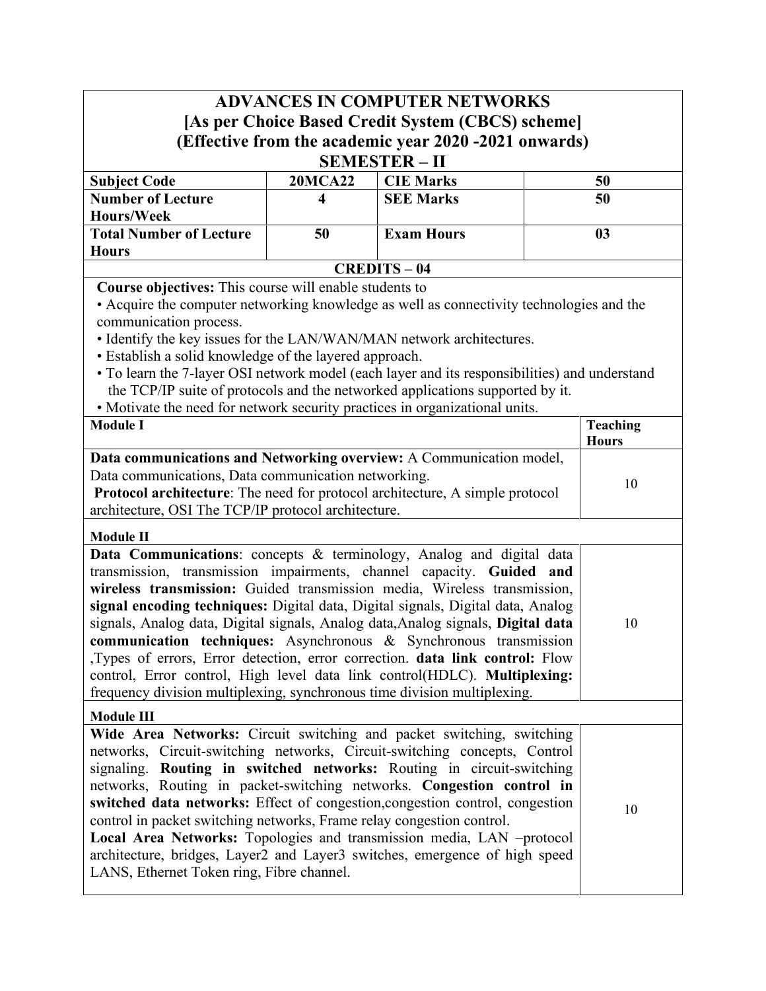# **ADVANCES IN COMPUTER NETWORKS [As per Choice Based Credit System (CBCS) scheme] (Effective from the academic year 2020 -2021 onwards) SEMESTER – II**

| <u>ULINLU LLIN</u>       |                |                   |    |  |
|--------------------------|----------------|-------------------|----|--|
| <b>Subject Code</b>      | <b>20MCA22</b> | <b>CIE Marks</b>  | 50 |  |
| <b>Number of Lecture</b> |                | <b>SEE Marks</b>  | 50 |  |
| Hours/Week               |                |                   |    |  |
| Total Number of Lecture  | 50             | <b>Exam Hours</b> |    |  |
| <b>Hours</b>             |                |                   |    |  |
| <b>CREDITS-04</b>        |                |                   |    |  |

**Course objectives:** This course will enable students to

• Acquire the computer networking knowledge as well as connectivity technologies and the communication process.

• Identify the key issues for the LAN/WAN/MAN network architectures.

- Establish a solid knowledge of the layered approach.
- To learn the 7-layer OSI network model (each layer and its responsibilities) and understand the TCP/IP suite of protocols and the networked applications supported by it.
- Motivate the need for network security practices in organizational units.

| <b>Protivale the need for network security practices in organizational units.</b>                                                                                                                                                                                                                                                                                                                                                                                                                                                                                                                                                                                                                             |                                 |
|---------------------------------------------------------------------------------------------------------------------------------------------------------------------------------------------------------------------------------------------------------------------------------------------------------------------------------------------------------------------------------------------------------------------------------------------------------------------------------------------------------------------------------------------------------------------------------------------------------------------------------------------------------------------------------------------------------------|---------------------------------|
| <b>Module I</b>                                                                                                                                                                                                                                                                                                                                                                                                                                                                                                                                                                                                                                                                                               | <b>Teaching</b><br><b>Hours</b> |
| Data communications and Networking overview: A Communication model,<br>Data communications, Data communication networking.<br>Protocol architecture: The need for protocol architecture, A simple protocol<br>architecture, OSI The TCP/IP protocol architecture.                                                                                                                                                                                                                                                                                                                                                                                                                                             | 10                              |
| <b>Module II</b>                                                                                                                                                                                                                                                                                                                                                                                                                                                                                                                                                                                                                                                                                              |                                 |
| Data Communications: concepts & terminology, Analog and digital data<br>transmission, transmission impairments, channel capacity. Guided and<br>wireless transmission: Guided transmission media, Wireless transmission,<br>signal encoding techniques: Digital data, Digital signals, Digital data, Analog<br>signals, Analog data, Digital signals, Analog data, Analog signals, Digital data<br>communication techniques: Asynchronous & Synchronous transmission<br>,Types of errors, Error detection, error correction. data link control: Flow<br>control, Error control, High level data link control(HDLC). Multiplexing:<br>frequency division multiplexing, synchronous time division multiplexing. | 10                              |
| <b>Module III</b>                                                                                                                                                                                                                                                                                                                                                                                                                                                                                                                                                                                                                                                                                             |                                 |
| Wide Area Networks: Circuit switching and packet switching, switching<br>networks, Circuit-switching networks, Circuit-switching concepts, Control<br>signaling. Routing in switched networks: Routing in circuit-switching<br>networks, Routing in packet-switching networks. Congestion control in<br>switched data networks: Effect of congestion, congestion control, congestion<br>control in packet switching networks, Frame relay congestion control.<br>Local Area Networks: Topologies and transmission media, LAN -protocol<br>architecture, bridges, Layer2 and Layer3 switches, emergence of high speed<br>LANS, Ethernet Token ring, Fibre channel.                                             | 10                              |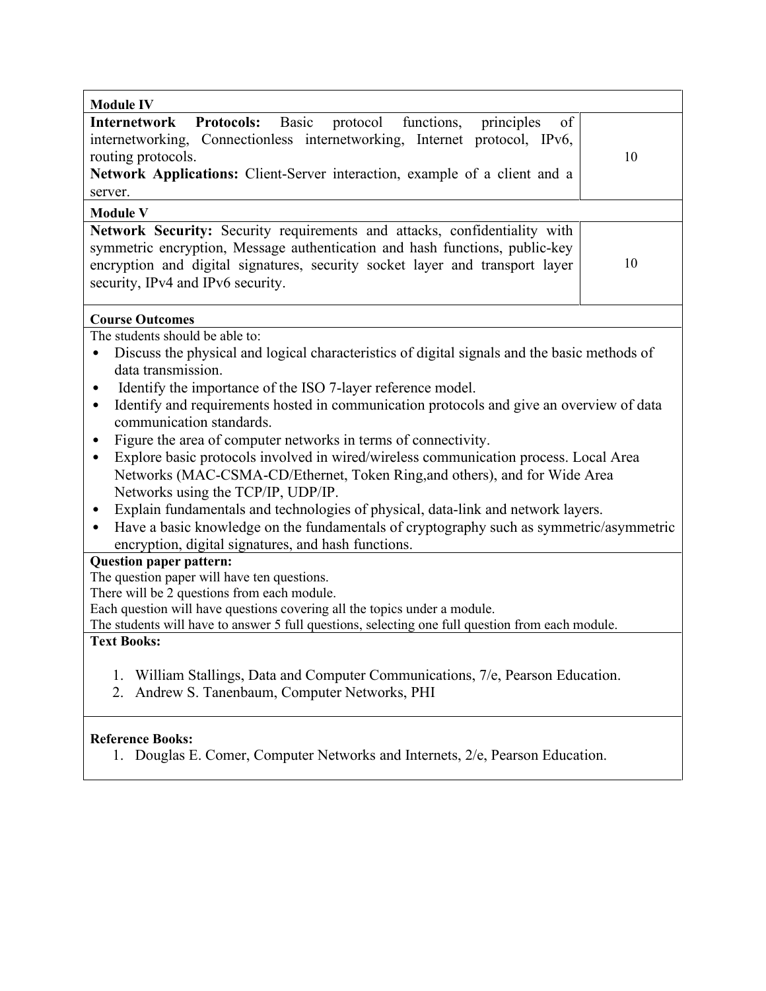| <b>Module IV</b>                                                                                                                                                                                                                                                                                                                                                                                                                                                                                                                                                                                                                                                                                                                                                                                                                                                                                       |    |
|--------------------------------------------------------------------------------------------------------------------------------------------------------------------------------------------------------------------------------------------------------------------------------------------------------------------------------------------------------------------------------------------------------------------------------------------------------------------------------------------------------------------------------------------------------------------------------------------------------------------------------------------------------------------------------------------------------------------------------------------------------------------------------------------------------------------------------------------------------------------------------------------------------|----|
| Protocols: Basic<br>protocol functions,<br>principles<br>of<br>Internetwork<br>internetworking, Connectionless internetworking, Internet protocol, IPv6,<br>routing protocols.<br>Network Applications: Client-Server interaction, example of a client and a<br>server.                                                                                                                                                                                                                                                                                                                                                                                                                                                                                                                                                                                                                                | 10 |
| <b>Module V</b><br>Network Security: Security requirements and attacks, confidentiality with                                                                                                                                                                                                                                                                                                                                                                                                                                                                                                                                                                                                                                                                                                                                                                                                           |    |
| symmetric encryption, Message authentication and hash functions, public-key<br>encryption and digital signatures, security socket layer and transport layer<br>security, IPv4 and IPv6 security.                                                                                                                                                                                                                                                                                                                                                                                                                                                                                                                                                                                                                                                                                                       | 10 |
| <b>Course Outcomes</b>                                                                                                                                                                                                                                                                                                                                                                                                                                                                                                                                                                                                                                                                                                                                                                                                                                                                                 |    |
| The students should be able to:<br>Discuss the physical and logical characteristics of digital signals and the basic methods of<br>data transmission.<br>Identify the importance of the ISO 7-layer reference model.<br>٠<br>Identify and requirements hosted in communication protocols and give an overview of data<br>٠<br>communication standards.<br>Figure the area of computer networks in terms of connectivity.<br>٠<br>Explore basic protocols involved in wired/wireless communication process. Local Area<br>$\bullet$<br>Networks (MAC-CSMA-CD/Ethernet, Token Ring, and others), and for Wide Area<br>Networks using the TCP/IP, UDP/IP.<br>Explain fundamentals and technologies of physical, data-link and network layers.<br>٠<br>Have a basic knowledge on the fundamentals of cryptography such as symmetric/asymmetric<br>٠<br>encryption, digital signatures, and hash functions. |    |
| <b>Question paper pattern:</b><br>The question paper will have ten questions.                                                                                                                                                                                                                                                                                                                                                                                                                                                                                                                                                                                                                                                                                                                                                                                                                          |    |
| There will be 2 questions from each module.<br>Each question will have questions covering all the topics under a module.<br>The students will have to answer 5 full questions, selecting one full question from each module.<br><b>Text Books:</b>                                                                                                                                                                                                                                                                                                                                                                                                                                                                                                                                                                                                                                                     |    |
| William Stallings, Data and Computer Communications, 7/e, Pearson Education.<br>1.<br>Andrew S. Tanenbaum, Computer Networks, PHI<br>2.                                                                                                                                                                                                                                                                                                                                                                                                                                                                                                                                                                                                                                                                                                                                                                |    |
| <b>Reference Books:</b><br>1. Douglas E. Comer, Computer Networks and Internets, 2/e, Pearson Education.                                                                                                                                                                                                                                                                                                                                                                                                                                                                                                                                                                                                                                                                                                                                                                                               |    |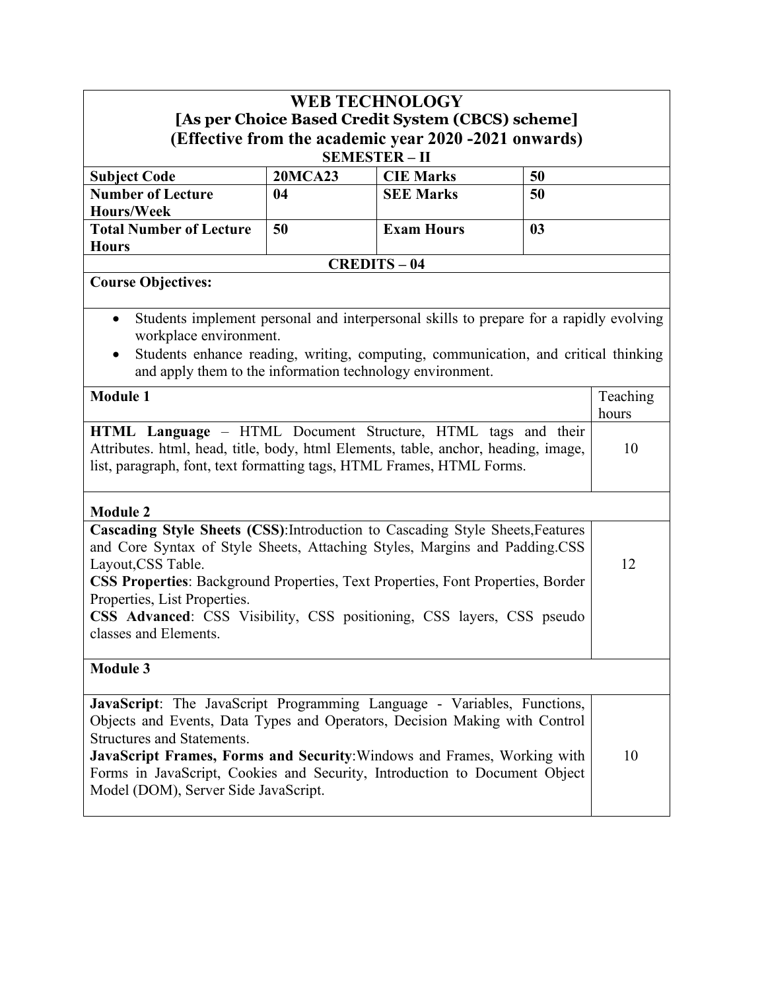| <b>WEB TECHNOLOGY</b>                                                                                                                                 |                |                   |    |                   |
|-------------------------------------------------------------------------------------------------------------------------------------------------------|----------------|-------------------|----|-------------------|
| [As per Choice Based Credit System (CBCS) scheme]                                                                                                     |                |                   |    |                   |
| (Effective from the academic year 2020 -2021 onwards)<br><b>SEMESTER-II</b>                                                                           |                |                   |    |                   |
| <b>Subject Code</b>                                                                                                                                   | <b>20MCA23</b> | <b>CIE Marks</b>  | 50 |                   |
| <b>Number of Lecture</b>                                                                                                                              | 04             | <b>SEE Marks</b>  | 50 |                   |
| <b>Hours/Week</b>                                                                                                                                     |                |                   |    |                   |
| <b>Total Number of Lecture</b><br><b>Hours</b>                                                                                                        | 50             | <b>Exam Hours</b> | 03 |                   |
|                                                                                                                                                       |                | <b>CREDITS-04</b> |    |                   |
| <b>Course Objectives:</b>                                                                                                                             |                |                   |    |                   |
|                                                                                                                                                       |                |                   |    |                   |
| Students implement personal and interpersonal skills to prepare for a rapidly evolving<br>$\bullet$                                                   |                |                   |    |                   |
| workplace environment.                                                                                                                                |                |                   |    |                   |
| Students enhance reading, writing, computing, communication, and critical thinking<br>and apply them to the information technology environment.       |                |                   |    |                   |
|                                                                                                                                                       |                |                   |    |                   |
| <b>Module 1</b>                                                                                                                                       |                |                   |    | Teaching<br>hours |
|                                                                                                                                                       |                |                   |    |                   |
| HTML Language - HTML Document Structure, HTML tags and their<br>Attributes. html, head, title, body, html Elements, table, anchor, heading, image,    |                |                   | 10 |                   |
| list, paragraph, font, text formatting tags, HTML Frames, HTML Forms.                                                                                 |                |                   |    |                   |
|                                                                                                                                                       |                |                   |    |                   |
| <b>Module 2</b>                                                                                                                                       |                |                   |    |                   |
| Cascading Style Sheets (CSS): Introduction to Cascading Style Sheets, Features                                                                        |                |                   |    |                   |
| and Core Syntax of Style Sheets, Attaching Styles, Margins and Padding.CSS                                                                            |                |                   |    |                   |
| Layout, CSS Table.<br>CSS Properties: Background Properties, Text Properties, Font Properties, Border                                                 |                |                   |    | 12                |
| Properties, List Properties.                                                                                                                          |                |                   |    |                   |
| <b>CSS Advanced:</b> CSS Visibility, CSS positioning, CSS layers, CSS pseudo                                                                          |                |                   |    |                   |
| classes and Elements.                                                                                                                                 |                |                   |    |                   |
|                                                                                                                                                       |                |                   |    |                   |
| <b>Module 3</b>                                                                                                                                       |                |                   |    |                   |
| JavaScript: The JavaScript Programming Language - Variables, Functions,                                                                               |                |                   |    |                   |
| Objects and Events, Data Types and Operators, Decision Making with Control                                                                            |                |                   |    |                   |
| <b>Structures and Statements.</b>                                                                                                                     |                |                   |    |                   |
| JavaScript Frames, Forms and Security: Windows and Frames, Working with<br>Forms in JavaScript, Cookies and Security, Introduction to Document Object |                |                   |    | 10                |
| Model (DOM), Server Side JavaScript.                                                                                                                  |                |                   |    |                   |
|                                                                                                                                                       |                |                   |    |                   |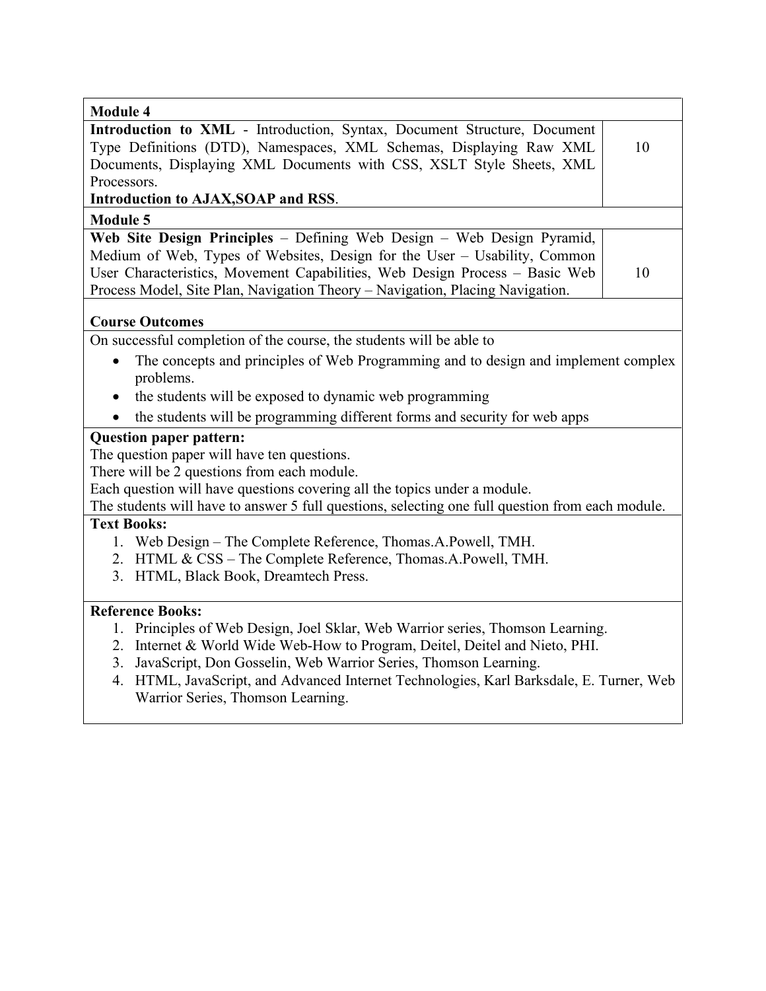| <b>Module 4</b>                                                                                                                                                                                                                                                                                                                                                        |    |
|------------------------------------------------------------------------------------------------------------------------------------------------------------------------------------------------------------------------------------------------------------------------------------------------------------------------------------------------------------------------|----|
| Introduction to XML - Introduction, Syntax, Document Structure, Document<br>Type Definitions (DTD), Namespaces, XML Schemas, Displaying Raw XML<br>Documents, Displaying XML Documents with CSS, XSLT Style Sheets, XML<br>Processors.                                                                                                                                 | 10 |
| Introduction to AJAX, SOAP and RSS.                                                                                                                                                                                                                                                                                                                                    |    |
| <b>Module 5</b>                                                                                                                                                                                                                                                                                                                                                        |    |
| Web Site Design Principles - Defining Web Design - Web Design Pyramid,<br>Medium of Web, Types of Websites, Design for the User - Usability, Common<br>User Characteristics, Movement Capabilities, Web Design Process - Basic Web<br>Process Model, Site Plan, Navigation Theory - Navigation, Placing Navigation.                                                    | 10 |
| <b>Course Outcomes</b>                                                                                                                                                                                                                                                                                                                                                 |    |
| On successful completion of the course, the students will be able to                                                                                                                                                                                                                                                                                                   |    |
| The concepts and principles of Web Programming and to design and implement complex<br>$\bullet$<br>problems.<br>the students will be exposed to dynamic web programming<br>$\bullet$                                                                                                                                                                                   |    |
| the students will be programming different forms and security for web apps                                                                                                                                                                                                                                                                                             |    |
| <b>Question paper pattern:</b><br>The question paper will have ten questions.<br>There will be 2 questions from each module.<br>Each question will have questions covering all the topics under a module.<br>The students will have to answer 5 full questions, selecting one full question from each module.                                                          |    |
| <b>Text Books:</b>                                                                                                                                                                                                                                                                                                                                                     |    |
| 1. Web Design – The Complete Reference, Thomas.A.Powell, TMH.<br>2. HTML & CSS - The Complete Reference, Thomas.A.Powell, TMH.<br>3. HTML, Black Book, Dreamtech Press.                                                                                                                                                                                                |    |
| <b>Reference Books:</b>                                                                                                                                                                                                                                                                                                                                                |    |
| 1. Principles of Web Design, Joel Sklar, Web Warrior series, Thomson Learning.<br>2. Internet & World Wide Web-How to Program, Deitel, Deitel and Nieto, PHI.<br>JavaScript, Don Gosselin, Web Warrior Series, Thomson Learning.<br>3.<br>4. HTML, JavaScript, and Advanced Internet Technologies, Karl Barksdale, E. Turner, Web<br>Warrior Series, Thomson Learning. |    |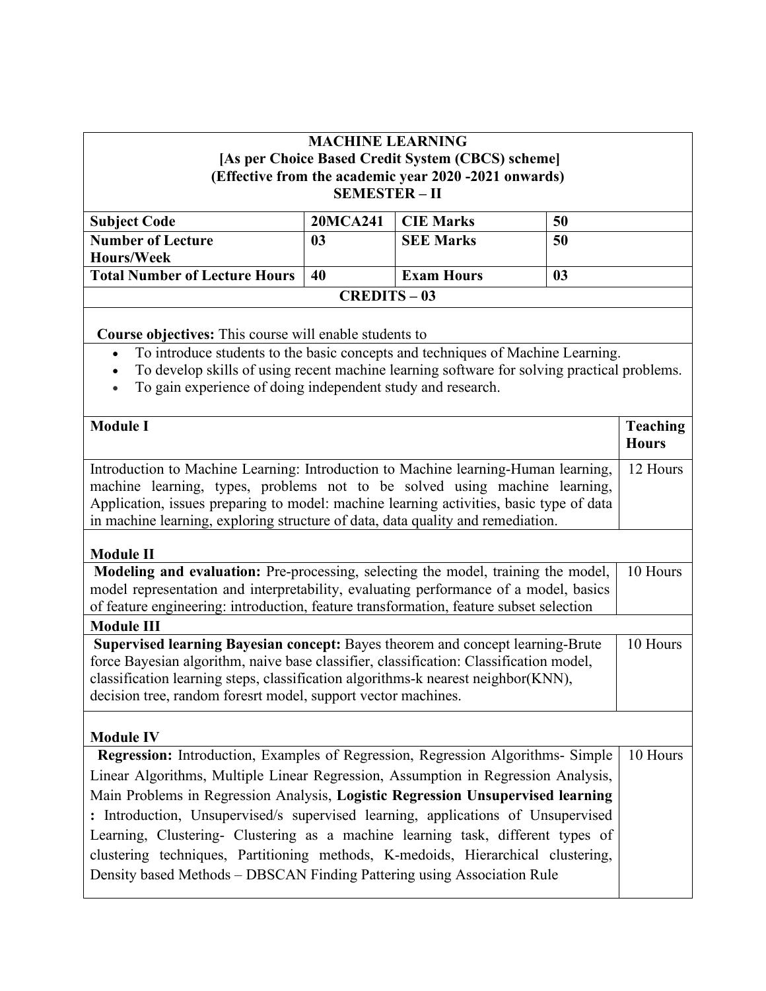## **MACHINE LEARNING [As per Choice Based Credit System (CBCS) scheme] (Effective from the academic year 2020 -2021 onwards) SEMESTER – II**

| <b>Subject Code</b>                  | <b>20MCA241</b> | CIE Marks         | 50             |
|--------------------------------------|-----------------|-------------------|----------------|
| <b>Number of Lecture</b>             | 03              | <b>SEE Marks</b>  | 50             |
| <b>Hours/Week</b>                    |                 |                   |                |
| <b>Total Number of Lecture Hours</b> | 40              | <b>Exam Hours</b> | 0 <sub>3</sub> |
| $CREDITS - 03$                       |                 |                   |                |

**Course objectives:** This course will enable students to

- To introduce students to the basic concepts and techniques of Machine Learning.
- To develop skills of using recent machine learning software for solving practical problems.
- To gain experience of doing independent study and research.

| <b>Teaching</b><br><b>Hours</b> |
|---------------------------------|
| 12 Hours                        |
|                                 |
| 10 Hours                        |
|                                 |
| 10 Hours                        |
|                                 |
| 10 Hours                        |
|                                 |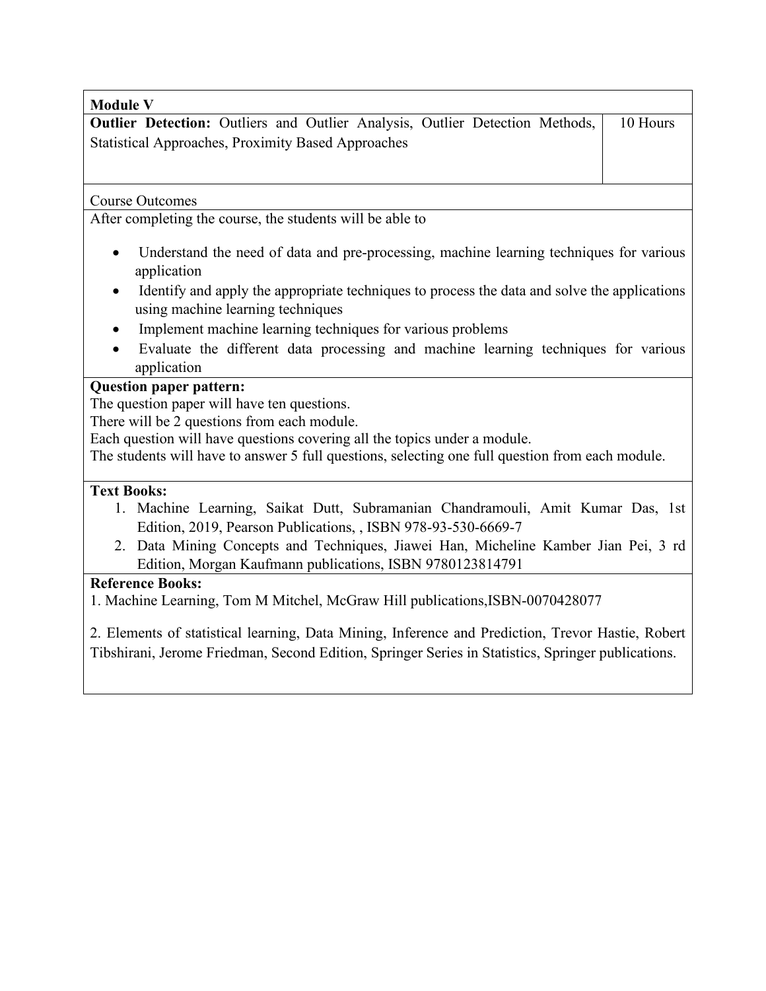| <b>Module V</b>                                                                                                                                |          |
|------------------------------------------------------------------------------------------------------------------------------------------------|----------|
| <b>Outlier Detection:</b> Outliers and Outlier Analysis, Outlier Detection Methods,                                                            | 10 Hours |
| <b>Statistical Approaches, Proximity Based Approaches</b>                                                                                      |          |
|                                                                                                                                                |          |
|                                                                                                                                                |          |
| <b>Course Outcomes</b>                                                                                                                         |          |
| After completing the course, the students will be able to                                                                                      |          |
| Understand the need of data and pre-processing, machine learning techniques for various<br>$\bullet$<br>application                            |          |
| Identify and apply the appropriate techniques to process the data and solve the applications<br>$\bullet$<br>using machine learning techniques |          |
| Implement machine learning techniques for various problems                                                                                     |          |
| Evaluate the different data processing and machine learning techniques for various<br>٠<br>application                                         |          |

## **Question paper pattern:**

The question paper will have ten questions.

There will be 2 questions from each module.

Each question will have questions covering all the topics under a module.

The students will have to answer 5 full questions, selecting one full question from each module.

## **Text Books:**

- 1. Machine Learning, Saikat Dutt, Subramanian Chandramouli, Amit Kumar Das, 1st Edition, 2019, Pearson Publications, , ISBN 978-93-530-6669-7
- 2. Data Mining Concepts and Techniques, Jiawei Han, Micheline Kamber Jian Pei, 3 rd Edition, Morgan Kaufmann publications, ISBN 9780123814791

#### **Reference Books:**

1. Machine Learning, Tom M Mitchel, McGraw Hill publications,ISBN-0070428077

2. Elements of statistical learning, Data Mining, Inference and Prediction, Trevor Hastie, Robert Tibshirani, Jerome Friedman, Second Edition, Springer Series in Statistics, Springer publications.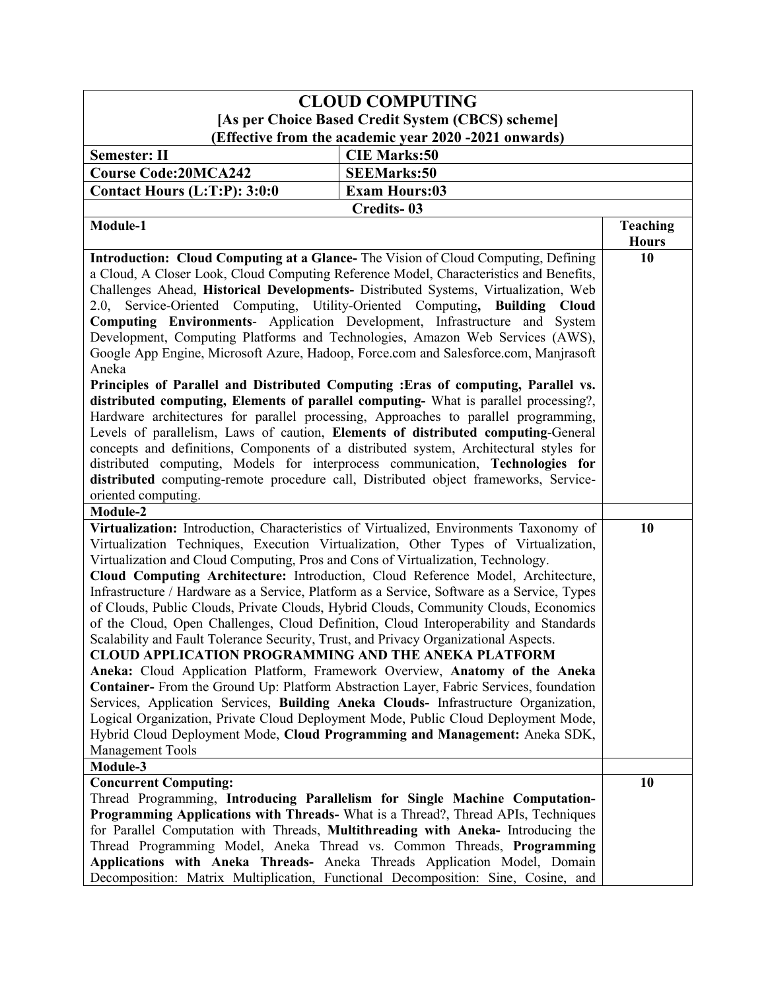| <b>CLOUD COMPUTING</b>                                                                                                                                                                                                                                             |                                                                                                                                                                                                                                                                                                                                                                                                                                                                                                                                                                                                                                                                                                                                                                                                                                                                                                                                                                                                                                                                                                                                                                         |                                 |
|--------------------------------------------------------------------------------------------------------------------------------------------------------------------------------------------------------------------------------------------------------------------|-------------------------------------------------------------------------------------------------------------------------------------------------------------------------------------------------------------------------------------------------------------------------------------------------------------------------------------------------------------------------------------------------------------------------------------------------------------------------------------------------------------------------------------------------------------------------------------------------------------------------------------------------------------------------------------------------------------------------------------------------------------------------------------------------------------------------------------------------------------------------------------------------------------------------------------------------------------------------------------------------------------------------------------------------------------------------------------------------------------------------------------------------------------------------|---------------------------------|
| [As per Choice Based Credit System (CBCS) scheme]                                                                                                                                                                                                                  |                                                                                                                                                                                                                                                                                                                                                                                                                                                                                                                                                                                                                                                                                                                                                                                                                                                                                                                                                                                                                                                                                                                                                                         |                                 |
|                                                                                                                                                                                                                                                                    | (Effective from the academic year 2020 -2021 onwards)                                                                                                                                                                                                                                                                                                                                                                                                                                                                                                                                                                                                                                                                                                                                                                                                                                                                                                                                                                                                                                                                                                                   |                                 |
| <b>Semester: II</b>                                                                                                                                                                                                                                                | <b>CIE Marks:50</b>                                                                                                                                                                                                                                                                                                                                                                                                                                                                                                                                                                                                                                                                                                                                                                                                                                                                                                                                                                                                                                                                                                                                                     |                                 |
| <b>Course Code:20MCA242</b>                                                                                                                                                                                                                                        | <b>SEEMarks:50</b>                                                                                                                                                                                                                                                                                                                                                                                                                                                                                                                                                                                                                                                                                                                                                                                                                                                                                                                                                                                                                                                                                                                                                      |                                 |
| Contact Hours (L:T:P): 3:0:0                                                                                                                                                                                                                                       | <b>Exam Hours:03</b>                                                                                                                                                                                                                                                                                                                                                                                                                                                                                                                                                                                                                                                                                                                                                                                                                                                                                                                                                                                                                                                                                                                                                    |                                 |
|                                                                                                                                                                                                                                                                    | <b>Credits-03</b>                                                                                                                                                                                                                                                                                                                                                                                                                                                                                                                                                                                                                                                                                                                                                                                                                                                                                                                                                                                                                                                                                                                                                       |                                 |
| Module-1                                                                                                                                                                                                                                                           |                                                                                                                                                                                                                                                                                                                                                                                                                                                                                                                                                                                                                                                                                                                                                                                                                                                                                                                                                                                                                                                                                                                                                                         | <b>Teaching</b><br><b>Hours</b> |
| 2.0, Service-Oriented Computing, Utility-Oriented Computing, Building<br>Aneka<br>oriented computing.                                                                                                                                                              | Introduction: Cloud Computing at a Glance-The Vision of Cloud Computing, Defining<br>a Cloud, A Closer Look, Cloud Computing Reference Model, Characteristics and Benefits,<br>Challenges Ahead, Historical Developments- Distributed Systems, Virtualization, Web<br><b>Cloud</b><br>Computing Environments- Application Development, Infrastructure and System<br>Development, Computing Platforms and Technologies, Amazon Web Services (AWS),<br>Google App Engine, Microsoft Azure, Hadoop, Force.com and Salesforce.com, Manjrasoft<br>Principles of Parallel and Distributed Computing : Eras of computing, Parallel vs.<br>distributed computing, Elements of parallel computing- What is parallel processing?,<br>Hardware architectures for parallel processing, Approaches to parallel programming,<br>Levels of parallelism, Laws of caution, Elements of distributed computing-General<br>concepts and definitions, Components of a distributed system, Architectural styles for<br>distributed computing, Models for interprocess communication, Technologies for<br>distributed computing-remote procedure call, Distributed object frameworks, Service- | 10                              |
| Module-2                                                                                                                                                                                                                                                           |                                                                                                                                                                                                                                                                                                                                                                                                                                                                                                                                                                                                                                                                                                                                                                                                                                                                                                                                                                                                                                                                                                                                                                         |                                 |
| Virtualization and Cloud Computing, Pros and Cons of Virtualization, Technology.<br>Scalability and Fault Tolerance Security, Trust, and Privacy Organizational Aspects.<br><b>CLOUD APPLICATION PROGRAMMING AND THE ANEKA PLATFORM</b><br><b>Management Tools</b> | Virtualization: Introduction, Characteristics of Virtualized, Environments Taxonomy of<br>Virtualization Techniques, Execution Virtualization, Other Types of Virtualization,<br>Cloud Computing Architecture: Introduction, Cloud Reference Model, Architecture,<br>Infrastructure / Hardware as a Service, Platform as a Service, Software as a Service, Types<br>of Clouds, Public Clouds, Private Clouds, Hybrid Clouds, Community Clouds, Economics<br>of the Cloud, Open Challenges, Cloud Definition, Cloud Interoperability and Standards<br>Aneka: Cloud Application Platform, Framework Overview, Anatomy of the Aneka<br>Container- From the Ground Up: Platform Abstraction Layer, Fabric Services, foundation<br>Services, Application Services, Building Aneka Clouds- Infrastructure Organization,<br>Logical Organization, Private Cloud Deployment Mode, Public Cloud Deployment Mode,<br>Hybrid Cloud Deployment Mode, Cloud Programming and Management: Aneka SDK,                                                                                                                                                                                   | 10                              |
| Module-3                                                                                                                                                                                                                                                           |                                                                                                                                                                                                                                                                                                                                                                                                                                                                                                                                                                                                                                                                                                                                                                                                                                                                                                                                                                                                                                                                                                                                                                         |                                 |
| <b>Concurrent Computing:</b>                                                                                                                                                                                                                                       | Thread Programming, Introducing Parallelism for Single Machine Computation-<br>Programming Applications with Threads-What is a Thread?, Thread APIs, Techniques<br>for Parallel Computation with Threads, Multithreading with Aneka- Introducing the<br>Thread Programming Model, Aneka Thread vs. Common Threads, Programming<br>Applications with Aneka Threads- Aneka Threads Application Model, Domain<br>Decomposition: Matrix Multiplication, Functional Decomposition: Sine, Cosine, and                                                                                                                                                                                                                                                                                                                                                                                                                                                                                                                                                                                                                                                                         | 10                              |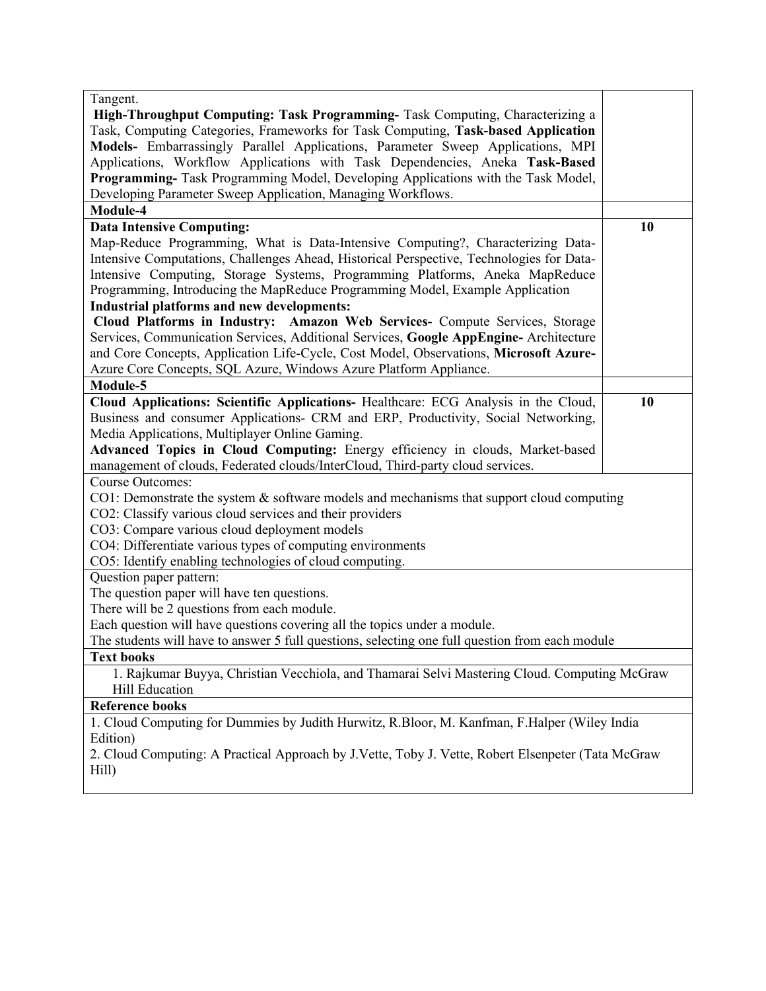| Tangent.                                                                                           |    |  |
|----------------------------------------------------------------------------------------------------|----|--|
| High-Throughput Computing: Task Programming-Task Computing, Characterizing a                       |    |  |
| Task, Computing Categories, Frameworks for Task Computing, Task-based Application                  |    |  |
| Models- Embarrassingly Parallel Applications, Parameter Sweep Applications, MPI                    |    |  |
|                                                                                                    |    |  |
| Applications, Workflow Applications with Task Dependencies, Aneka Task-Based                       |    |  |
| Programming-Task Programming Model, Developing Applications with the Task Model,                   |    |  |
| Developing Parameter Sweep Application, Managing Workflows.                                        |    |  |
| Module-4                                                                                           |    |  |
| <b>Data Intensive Computing:</b>                                                                   | 10 |  |
| Map-Reduce Programming, What is Data-Intensive Computing?, Characterizing Data-                    |    |  |
| Intensive Computations, Challenges Ahead, Historical Perspective, Technologies for Data-           |    |  |
| Intensive Computing, Storage Systems, Programming Platforms, Aneka MapReduce                       |    |  |
| Programming, Introducing the MapReduce Programming Model, Example Application                      |    |  |
| <b>Industrial platforms and new developments:</b>                                                  |    |  |
| Cloud Platforms in Industry: Amazon Web Services- Compute Services, Storage                        |    |  |
| Services, Communication Services, Additional Services, Google AppEngine-Architecture               |    |  |
| and Core Concepts, Application Life-Cycle, Cost Model, Observations, Microsoft Azure-              |    |  |
| Azure Core Concepts, SQL Azure, Windows Azure Platform Appliance.                                  |    |  |
| Module-5                                                                                           |    |  |
|                                                                                                    | 10 |  |
| Cloud Applications: Scientific Applications- Healthcare: ECG Analysis in the Cloud,                |    |  |
| Business and consumer Applications- CRM and ERP, Productivity, Social Networking,                  |    |  |
| Media Applications, Multiplayer Online Gaming.                                                     |    |  |
| Advanced Topics in Cloud Computing: Energy efficiency in clouds, Market-based                      |    |  |
| management of clouds, Federated clouds/InterCloud, Third-party cloud services.                     |    |  |
| <b>Course Outcomes:</b>                                                                            |    |  |
| $CO1:$ Demonstrate the system & software models and mechanisms that support cloud computing        |    |  |
| CO2: Classify various cloud services and their providers                                           |    |  |
| CO3: Compare various cloud deployment models                                                       |    |  |
| CO4: Differentiate various types of computing environments                                         |    |  |
| CO5: Identify enabling technologies of cloud computing.                                            |    |  |
| Question paper pattern:                                                                            |    |  |
| The question paper will have ten questions.                                                        |    |  |
| There will be 2 questions from each module.                                                        |    |  |
| Each question will have questions covering all the topics under a module.                          |    |  |
| The students will have to answer 5 full questions, selecting one full question from each module    |    |  |
| <b>Text books</b>                                                                                  |    |  |
| 1. Rajkumar Buyya, Christian Vecchiola, and Thamarai Selvi Mastering Cloud. Computing McGraw       |    |  |
| <b>Hill Education</b>                                                                              |    |  |
| <b>Reference books</b>                                                                             |    |  |
| 1. Cloud Computing for Dummies by Judith Hurwitz, R.Bloor, M. Kanfman, F.Halper (Wiley India       |    |  |
|                                                                                                    |    |  |
| Edition)                                                                                           |    |  |
| 2. Cloud Computing: A Practical Approach by J.Vette, Toby J. Vette, Robert Elsenpeter (Tata McGraw |    |  |
| Hill)                                                                                              |    |  |
|                                                                                                    |    |  |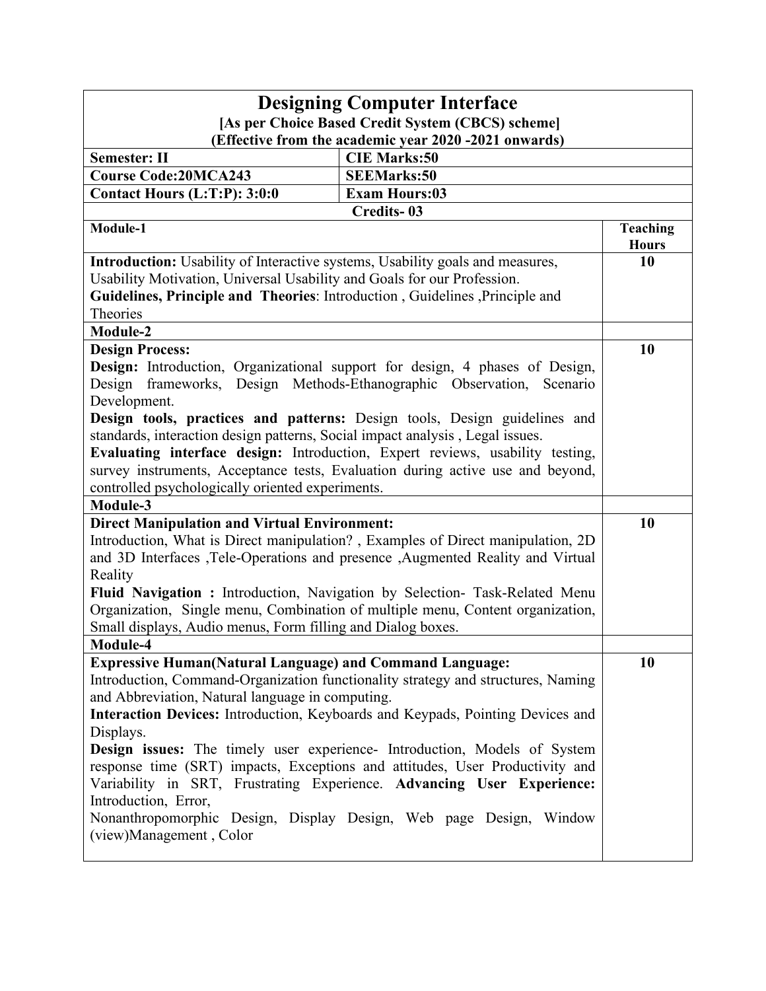| <b>Designing Computer Interface</b><br>[As per Choice Based Credit System (CBCS) scheme]                                                                                                                                              |                                                                                                                                                                                                                                                                                                           |                                 |  |  |  |
|---------------------------------------------------------------------------------------------------------------------------------------------------------------------------------------------------------------------------------------|-----------------------------------------------------------------------------------------------------------------------------------------------------------------------------------------------------------------------------------------------------------------------------------------------------------|---------------------------------|--|--|--|
| (Effective from the academic year 2020 -2021 onwards)                                                                                                                                                                                 |                                                                                                                                                                                                                                                                                                           |                                 |  |  |  |
| <b>Semester: II</b>                                                                                                                                                                                                                   | <b>CIE Marks:50</b>                                                                                                                                                                                                                                                                                       |                                 |  |  |  |
| <b>Course Code:20MCA243</b>                                                                                                                                                                                                           | <b>SEEMarks:50</b>                                                                                                                                                                                                                                                                                        |                                 |  |  |  |
| Contact Hours (L:T:P): 3:0:0                                                                                                                                                                                                          | <b>Exam Hours:03</b>                                                                                                                                                                                                                                                                                      |                                 |  |  |  |
|                                                                                                                                                                                                                                       | <b>Credits-03</b>                                                                                                                                                                                                                                                                                         |                                 |  |  |  |
| Module-1                                                                                                                                                                                                                              |                                                                                                                                                                                                                                                                                                           | <b>Teaching</b><br><b>Hours</b> |  |  |  |
| <b>Introduction:</b> Usability of Interactive systems, Usability goals and measures,                                                                                                                                                  |                                                                                                                                                                                                                                                                                                           | 10                              |  |  |  |
| Usability Motivation, Universal Usability and Goals for our Profession.                                                                                                                                                               |                                                                                                                                                                                                                                                                                                           |                                 |  |  |  |
| Guidelines, Principle and Theories: Introduction, Guidelines, Principle and                                                                                                                                                           |                                                                                                                                                                                                                                                                                                           |                                 |  |  |  |
| Theories                                                                                                                                                                                                                              |                                                                                                                                                                                                                                                                                                           |                                 |  |  |  |
| Module-2                                                                                                                                                                                                                              |                                                                                                                                                                                                                                                                                                           |                                 |  |  |  |
| <b>Design Process:</b>                                                                                                                                                                                                                |                                                                                                                                                                                                                                                                                                           | 10                              |  |  |  |
|                                                                                                                                                                                                                                       | Design: Introduction, Organizational support for design, 4 phases of Design,<br>Design frameworks, Design Methods-Ethanographic Observation, Scenario                                                                                                                                                     |                                 |  |  |  |
| Development.                                                                                                                                                                                                                          |                                                                                                                                                                                                                                                                                                           |                                 |  |  |  |
|                                                                                                                                                                                                                                       | Design tools, practices and patterns: Design tools, Design guidelines and                                                                                                                                                                                                                                 |                                 |  |  |  |
| standards, interaction design patterns, Social impact analysis, Legal issues.                                                                                                                                                         |                                                                                                                                                                                                                                                                                                           |                                 |  |  |  |
|                                                                                                                                                                                                                                       | Evaluating interface design: Introduction, Expert reviews, usability testing,                                                                                                                                                                                                                             |                                 |  |  |  |
| survey instruments, Acceptance tests, Evaluation during active use and beyond,                                                                                                                                                        |                                                                                                                                                                                                                                                                                                           |                                 |  |  |  |
| controlled psychologically oriented experiments.                                                                                                                                                                                      |                                                                                                                                                                                                                                                                                                           |                                 |  |  |  |
| Module-3                                                                                                                                                                                                                              |                                                                                                                                                                                                                                                                                                           | 10                              |  |  |  |
| <b>Direct Manipulation and Virtual Environment:</b><br>Introduction, What is Direct manipulation?, Examples of Direct manipulation, 2D<br>and 3D Interfaces , Tele-Operations and presence , Augmented Reality and Virtual<br>Reality |                                                                                                                                                                                                                                                                                                           |                                 |  |  |  |
| Small displays, Audio menus, Form filling and Dialog boxes.                                                                                                                                                                           | Fluid Navigation : Introduction, Navigation by Selection- Task-Related Menu<br>Organization, Single menu, Combination of multiple menu, Content organization,                                                                                                                                             |                                 |  |  |  |
| Module-4                                                                                                                                                                                                                              |                                                                                                                                                                                                                                                                                                           |                                 |  |  |  |
| <b>Expressive Human(Natural Language) and Command Language:</b><br>and Abbreviation, Natural language in computing.<br>Displays.                                                                                                      | Introduction, Command-Organization functionality strategy and structures, Naming<br>Interaction Devices: Introduction, Keyboards and Keypads, Pointing Devices and                                                                                                                                        | 10                              |  |  |  |
| Introduction, Error,<br>(view)Management, Color                                                                                                                                                                                       | Design issues: The timely user experience- Introduction, Models of System<br>response time (SRT) impacts, Exceptions and attitudes, User Productivity and<br>Variability in SRT, Frustrating Experience. Advancing User Experience:<br>Nonanthropomorphic Design, Display Design, Web page Design, Window |                                 |  |  |  |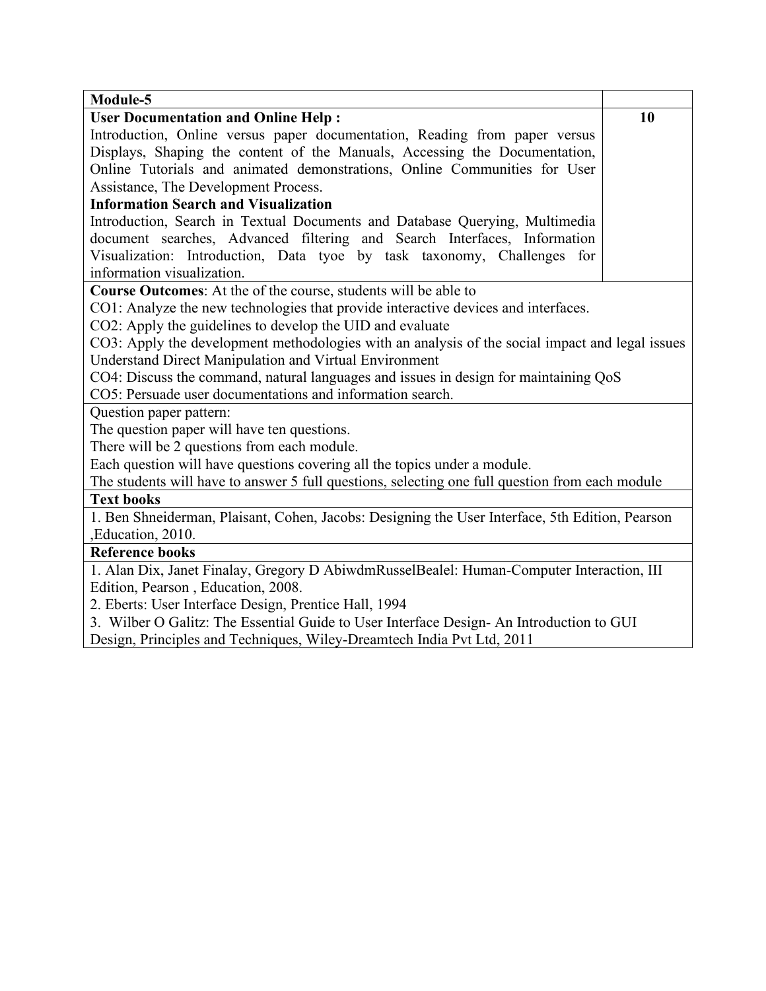| Module-5                                                                                        |    |  |  |
|-------------------------------------------------------------------------------------------------|----|--|--|
| <b>User Documentation and Online Help:</b>                                                      | 10 |  |  |
| Introduction, Online versus paper documentation, Reading from paper versus                      |    |  |  |
| Displays, Shaping the content of the Manuals, Accessing the Documentation,                      |    |  |  |
| Online Tutorials and animated demonstrations, Online Communities for User                       |    |  |  |
| Assistance, The Development Process.                                                            |    |  |  |
| <b>Information Search and Visualization</b>                                                     |    |  |  |
| Introduction, Search in Textual Documents and Database Querying, Multimedia                     |    |  |  |
| document searches, Advanced filtering and Search Interfaces, Information                        |    |  |  |
| Visualization: Introduction, Data tyoe by task taxonomy, Challenges for                         |    |  |  |
| information visualization.                                                                      |    |  |  |
| Course Outcomes: At the of the course, students will be able to                                 |    |  |  |
| CO1: Analyze the new technologies that provide interactive devices and interfaces.              |    |  |  |
| CO2: Apply the guidelines to develop the UID and evaluate                                       |    |  |  |
| CO3: Apply the development methodologies with an analysis of the social impact and legal issues |    |  |  |
| Understand Direct Manipulation and Virtual Environment                                          |    |  |  |
| CO4: Discuss the command, natural languages and issues in design for maintaining QoS            |    |  |  |
| CO5: Persuade user documentations and information search.                                       |    |  |  |
| Question paper pattern:                                                                         |    |  |  |
| The question paper will have ten questions.                                                     |    |  |  |
| There will be 2 questions from each module.                                                     |    |  |  |
| Each question will have questions covering all the topics under a module.                       |    |  |  |
| The students will have to answer 5 full questions, selecting one full question from each module |    |  |  |
| <b>Text books</b>                                                                               |    |  |  |
| 1. Ben Shneiderman, Plaisant, Cohen, Jacobs: Designing the User Interface, 5th Edition, Pearson |    |  |  |
| ,Education, 2010.                                                                               |    |  |  |
| <b>Reference books</b>                                                                          |    |  |  |
| 1. Alan Dix, Janet Finalay, Gregory D AbiwdmRusselBealel: Human-Computer Interaction, III       |    |  |  |
| Edition, Pearson, Education, 2008.                                                              |    |  |  |
| 2. Eberts: User Interface Design, Prentice Hall, 1994                                           |    |  |  |
| 3. Wilber O Galitz: The Essential Guide to User Interface Design- An Introduction to GUI        |    |  |  |
| Design, Principles and Techniques, Wiley-Dreamtech India Pvt Ltd, 2011                          |    |  |  |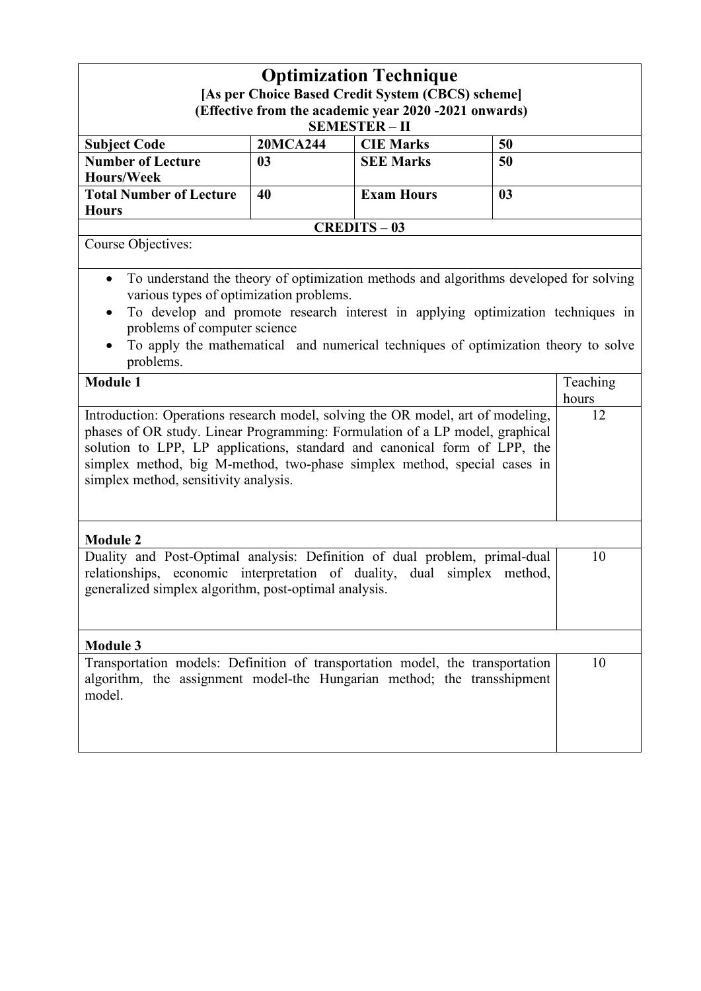| <b>Optimization Technique</b><br>[As per Choice Based Credit System (CBCS) scheme]<br>(Effective from the academic year 2020 -2021 onwards)<br><b>SEMESTER-II</b>                                                                                                                                                                                                                |                 |                   |                |                   |  |
|----------------------------------------------------------------------------------------------------------------------------------------------------------------------------------------------------------------------------------------------------------------------------------------------------------------------------------------------------------------------------------|-----------------|-------------------|----------------|-------------------|--|
| <b>Subject Code</b>                                                                                                                                                                                                                                                                                                                                                              | <b>20MCA244</b> | <b>CIE Marks</b>  | 50             |                   |  |
| <b>Number of Lecture</b>                                                                                                                                                                                                                                                                                                                                                         | 0 <sub>3</sub>  | <b>SEE Marks</b>  | 50             |                   |  |
| <b>Hours/Week</b>                                                                                                                                                                                                                                                                                                                                                                |                 |                   |                |                   |  |
| <b>Total Number of Lecture</b>                                                                                                                                                                                                                                                                                                                                                   | 40              | <b>Exam Hours</b> | 0 <sub>3</sub> |                   |  |
| <b>Hours</b>                                                                                                                                                                                                                                                                                                                                                                     |                 |                   |                |                   |  |
|                                                                                                                                                                                                                                                                                                                                                                                  |                 | <b>CREDITS-03</b> |                |                   |  |
| Course Objectives:                                                                                                                                                                                                                                                                                                                                                               |                 |                   |                |                   |  |
| To understand the theory of optimization methods and algorithms developed for solving<br>$\bullet$<br>various types of optimization problems.<br>To develop and promote research interest in applying optimization techniques in<br>$\bullet$<br>problems of computer science<br>To apply the mathematical and numerical techniques of optimization theory to solve<br>problems. |                 |                   |                |                   |  |
| <b>Module 1</b>                                                                                                                                                                                                                                                                                                                                                                  |                 |                   |                | Teaching<br>hours |  |
| Introduction: Operations research model, solving the OR model, art of modeling,<br>phases of OR study. Linear Programming: Formulation of a LP model, graphical<br>solution to LPP, LP applications, standard and canonical form of LPP, the<br>simplex method, big M-method, two-phase simplex method, special cases in<br>simplex method, sensitivity analysis.                |                 |                   |                | 12                |  |
| <b>Module 2</b>                                                                                                                                                                                                                                                                                                                                                                  |                 |                   |                |                   |  |
| Duality and Post-Optimal analysis: Definition of dual problem, primal-dual<br>relationships, economic interpretation of duality, dual simplex method,<br>generalized simplex algorithm, post-optimal analysis.                                                                                                                                                                   |                 |                   | 10             |                   |  |
| <b>Module 3</b>                                                                                                                                                                                                                                                                                                                                                                  |                 |                   |                |                   |  |
| Transportation models: Definition of transportation model, the transportation<br>algorithm, the assignment model-the Hungarian method; the transshipment<br>model.                                                                                                                                                                                                               |                 |                   |                | 10                |  |